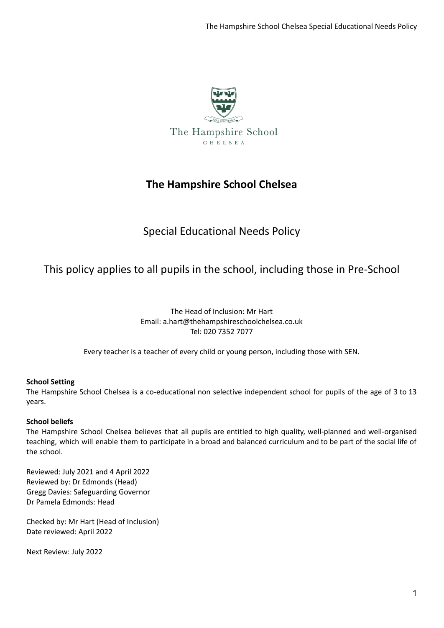

# **The Hampshire School Chelsea**

# Special Educational Needs Policy

# This policy applies to all pupils in the school, including those in Pre-School

The Head of Inclusion: Mr Hart Email: a.hart@thehampshireschoolchelsea.co.uk Tel: 020 7352 7077

Every teacher is a teacher of every child or young person, including those with SEN.

## **School Setting**

The Hampshire School Chelsea is a co-educational non selective independent school for pupils of the age of 3 to 13 years.

## **School beliefs**

The Hampshire School Chelsea believes that all pupils are entitled to high quality, well-planned and well-organised teaching, which will enable them to participate in a broad and balanced curriculum and to be part of the social life of the school.

Reviewed: July 2021 and 4 April 2022 Reviewed by: Dr Edmonds (Head) Gregg Davies: Safeguarding Governor Dr Pamela Edmonds: Head

Checked by: Mr Hart (Head of Inclusion) Date reviewed: April 2022

Next Review: July 2022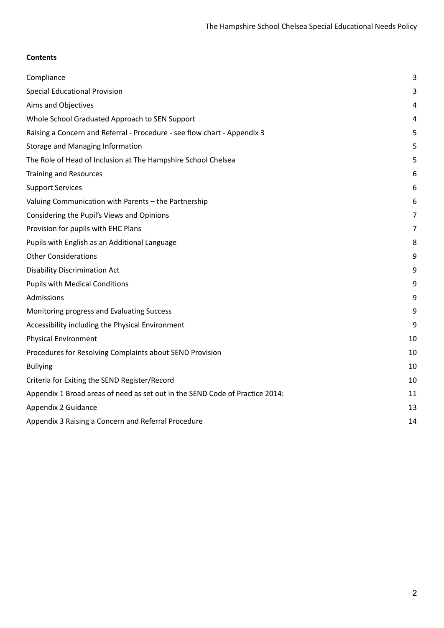# **Contents**

| Compliance                                                                   | 3  |
|------------------------------------------------------------------------------|----|
| <b>Special Educational Provision</b>                                         | 3  |
| Aims and Objectives                                                          | 4  |
| Whole School Graduated Approach to SEN Support                               | 4  |
| Raising a Concern and Referral - Procedure - see flow chart - Appendix 3     | 5  |
| Storage and Managing Information                                             | 5  |
| The Role of Head of Inclusion at The Hampshire School Chelsea                | 5  |
| <b>Training and Resources</b>                                                | 6  |
| <b>Support Services</b>                                                      | 6  |
| Valuing Communication with Parents - the Partnership                         | 6  |
| Considering the Pupil's Views and Opinions                                   | 7  |
| Provision for pupils with EHC Plans                                          | 7  |
| Pupils with English as an Additional Language                                | 8  |
| <b>Other Considerations</b>                                                  | 9  |
| <b>Disability Discrimination Act</b>                                         | 9  |
| <b>Pupils with Medical Conditions</b>                                        | 9  |
| Admissions                                                                   | 9  |
| Monitoring progress and Evaluating Success                                   | 9  |
| Accessibility including the Physical Environment                             | 9  |
| <b>Physical Environment</b>                                                  | 10 |
| Procedures for Resolving Complaints about SEND Provision                     | 10 |
| <b>Bullying</b>                                                              | 10 |
| Criteria for Exiting the SEND Register/Record                                | 10 |
| Appendix 1 Broad areas of need as set out in the SEND Code of Practice 2014: | 11 |
| Appendix 2 Guidance                                                          | 13 |
| Appendix 3 Raising a Concern and Referral Procedure                          | 14 |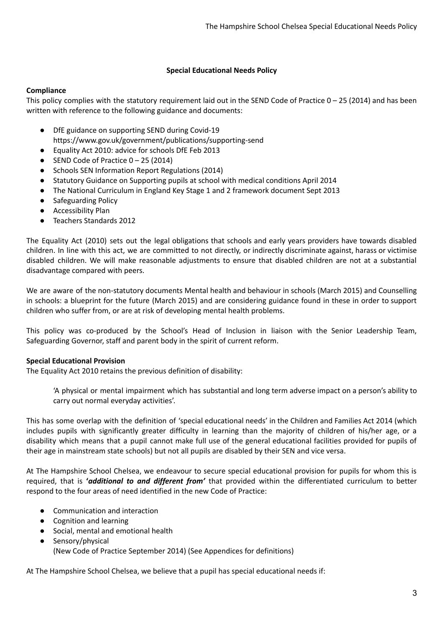## **Special Educational Needs Policy**

## <span id="page-2-0"></span>**Compliance**

This policy complies with the statutory requirement laid out in the SEND Code of Practice  $0 - 25$  (2014) and has been written with reference to the following guidance and documents:

- DfE guidance on supporting SEND during Covid-19 https://www.gov.uk/government/publications/supporting-send
- Equality Act 2010: advice for schools DfE Feb 2013
- $\bullet$  SEND Code of Practice  $0 25$  (2014)
- Schools SEN Information Report Regulations (2014)
- Statutory Guidance on Supporting pupils at school with medical conditions April 2014
- The National Curriculum in England Key Stage 1 and 2 framework document Sept 2013
- Safeguarding Policy
- Accessibility Plan
- Teachers Standards 2012

The Equality Act (2010) sets out the legal obligations that schools and early years providers have towards disabled children. In line with this act, we are committed to not directly, or indirectly discriminate against, harass or victimise disabled children. We will make reasonable adjustments to ensure that disabled children are not at a substantial disadvantage compared with peers.

We are aware of the non-statutory documents Mental health and behaviour in schools (March 2015) and Counselling in schools: a blueprint for the future (March 2015) and are considering guidance found in these in order to support children who suffer from, or are at risk of developing mental health problems.

This policy was co-produced by the School's Head of Inclusion in liaison with the Senior Leadership Team, Safeguarding Governor, staff and parent body in the spirit of current reform.

## <span id="page-2-1"></span>**Special Educational Provision**

The Equality Act 2010 retains the previous definition of disability:

'A physical or mental impairment which has substantial and long term adverse impact on a person's ability to carry out normal everyday activities'.

This has some overlap with the definition of 'special educational needs' in the Children and Families Act 2014 (which includes pupils with significantly greater difficulty in learning than the majority of children of his/her age, or a disability which means that a pupil cannot make full use of the general educational facilities provided for pupils of their age in mainstream state schools) but not all pupils are disabled by their SEN and vice versa.

At The Hampshire School Chelsea, we endeavour to secure special educational provision for pupils for whom this is required, that is **'***additional to and different from'* that provided within the differentiated curriculum to better respond to the four areas of need identified in the new Code of Practice:

- Communication and interaction
- Cognition and learning
- Social, mental and emotional health
- Sensory/physical (New Code of Practice September 2014) (See Appendices for definitions)

At The Hampshire School Chelsea, we believe that a pupil has special educational needs if: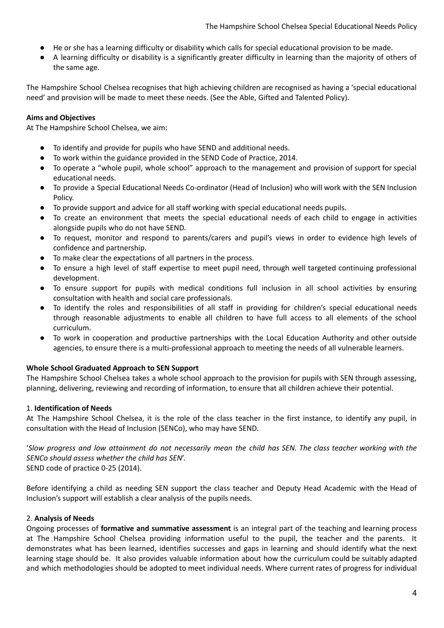- He or she has a learning difficulty or disability which calls for special educational provision to be made.
- A learning difficulty or disability is a significantly greater difficulty in learning than the majority of others of the same age.

The Hampshire School Chelsea recognises that high achieving children are recognised as having a 'special educational need' and provision will be made to meet these needs. (See the Able, Gifted and Talented Policy).

## <span id="page-3-0"></span>**Aims and Objectives**

At The Hampshire School Chelsea, we aim:

- To identify and provide for pupils who have SEND and additional needs.
- To work within the guidance provided in the SEND Code of Practice, 2014.
- To operate a "whole pupil, whole school" approach to the management and provision of support for special educational needs.
- To provide a Special Educational Needs Co-ordinator (Head of Inclusion) who will work with the SEN Inclusion Policy.
- To provide support and advice for all staff working with special educational needs pupils.
- To create an environment that meets the special educational needs of each child to engage in activities alongside pupils who do not have SEND.
- To request, monitor and respond to parents/carers and pupil's views in order to evidence high levels of confidence and partnership.
- To make clear the expectations of all partners in the process.
- To ensure a high level of staff expertise to meet pupil need, through well targeted continuing professional development.
- To ensure support for pupils with medical conditions full inclusion in all school activities by ensuring consultation with health and social care professionals.
- To identify the roles and responsibilities of all staff in providing for children's special educational needs through reasonable adjustments to enable all children to have full access to all elements of the school curriculum.
- To work in cooperation and productive partnerships with the Local Education Authority and other outside agencies, to ensure there is a multi-professional approach to meeting the needs of all vulnerable learners.

## <span id="page-3-1"></span>**Whole School Graduated Approach to SEN Support**

The Hampshire School Chelsea takes a whole school approach to the provision for pupils with SEN through assessing, planning, delivering, reviewing and recording of information, to ensure that all children achieve their potential.

## 1. **Identification of Needs**

At The Hampshire School Chelsea, it is the role of the class teacher in the first instance, to identify any pupil, in consultation with the Head of Inclusion (SENCo), who may have SEND.

'Slow progress and low attainment do not necessarily mean the child has SEN. The class teacher working with the *SENCo should assess whether the child has SEN*'. SEND code of practice 0-25 (2014).

Before identifying a child as needing SEN support the class teacher and Deputy Head Academic with the Head of Inclusion's support will establish a clear analysis of the pupils needs.

## 2. **Analysis of Needs**

Ongoing processes of **formative and summative assessment** is an integral part of the teaching and learning process at The Hampshire School Chelsea providing information useful to the pupil, the teacher and the parents. It demonstrates what has been learned, identifies successes and gaps in learning and should identify what the next learning stage should be. It also provides valuable information about how the curriculum could be suitably adapted and which methodologies should be adopted to meet individual needs. Where current rates of progress for individual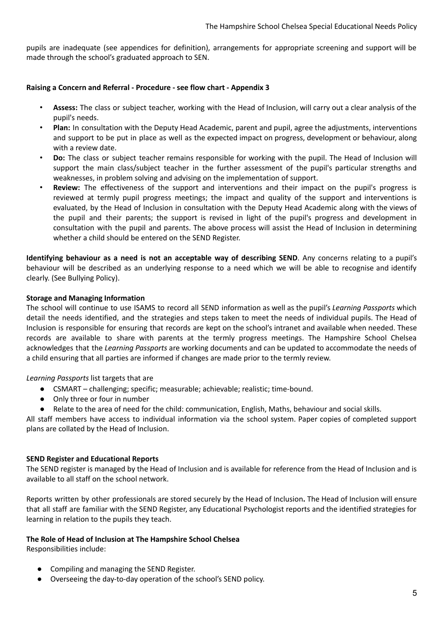pupils are inadequate (see appendices for definition), arrangements for appropriate screening and support will be made through the school's graduated approach to SEN.

#### <span id="page-4-0"></span>**Raising a Concern and Referral - Procedure - see flow chart - Appendix 3**

- **Assess:** The class or subject teacher, working with the Head of Inclusion, will carry out a clear analysis of the pupil's needs.
- **Plan:** In consultation with the Deputy Head Academic, parent and pupil, agree the adjustments, interventions and support to be put in place as well as the expected impact on progress, development or behaviour, along with a review date.
- **Do:** The class or subject teacher remains responsible for working with the pupil. The Head of Inclusion will support the main class/subject teacher in the further assessment of the pupil's particular strengths and weaknesses, in problem solving and advising on the implementation of support.
- **Review:** The effectiveness of the support and interventions and their impact on the pupil's progress is reviewed at termly pupil progress meetings; the impact and quality of the support and interventions is evaluated, by the Head of Inclusion in consultation with the Deputy Head Academic along with the views of the pupil and their parents; the support is revised in light of the pupil's progress and development in consultation with the pupil and parents. The above process will assist the Head of Inclusion in determining whether a child should be entered on the SEND Register.

**Identifying behaviour as a need is not an acceptable way of describing SEND**. Any concerns relating to a pupil's behaviour will be described as an underlying response to a need which we will be able to recognise and identify clearly. (See Bullying Policy).

#### <span id="page-4-1"></span>**Storage and Managing Information**

The school will continue to use ISAMS to record all SEND information as well as the pupil's *Learning Passports* which detail the needs identified, and the strategies and steps taken to meet the needs of individual pupils. The Head of Inclusion is responsible for ensuring that records are kept on the school's intranet and available when needed. These records are available to share with parents at the termly progress meetings. The Hampshire School Chelsea acknowledges that the *Learning Passports* are working documents and can be updated to accommodate the needs of a child ensuring that all parties are informed if changes are made prior to the termly review.

*Learning Passports* list targets that are

- CSMART challenging; specific; measurable; achievable; realistic; time-bound.
- Only three or four in number
- Relate to the area of need for the child: communication, English, Maths, behaviour and social skills.

All staff members have access to individual information via the school system. Paper copies of completed support plans are collated by the Head of Inclusion.

#### **SEND Register and Educational Reports**

The SEND register is managed by the Head of Inclusion and is available for reference from the Head of Inclusion and is available to all staff on the school network.

Reports written by other professionals are stored securely by the Head of Inclusion**.** The Head of Inclusion will ensure that all staff are familiar with the SEND Register, any Educational Psychologist reports and the identified strategies for learning in relation to the pupils they teach.

#### <span id="page-4-2"></span>**The Role of Head of Inclusion at The Hampshire School Chelsea**

Responsibilities include:

- Compiling and managing the SEND Register.
- Overseeing the day-to-day operation of the school's SEND policy.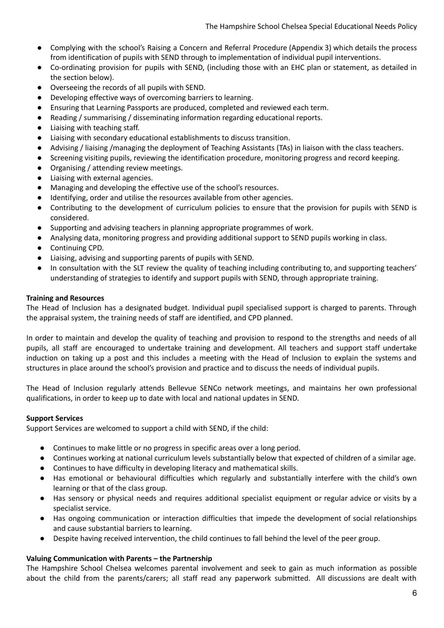- Complying with the school's Raising a Concern and Referral Procedure (Appendix 3) which details the process from identification of pupils with SEND through to implementation of individual pupil interventions.
- Co-ordinating provision for pupils with SEND, (including those with an EHC plan or statement, as detailed in the section below).
- Overseeing the records of all pupils with SEND.
- Developing effective ways of overcoming barriers to learning.
- Ensuring that Learning Passports are produced, completed and reviewed each term.
- Reading / summarising / disseminating information regarding educational reports.
- **●** Liaising with teaching staff.
- **●** Liaising with secondary educational establishments to discuss transition.
- **●** Advising / liaising /managing the deployment of Teaching Assistants (TAs) in liaison with the class teachers.
- Screening visiting pupils, reviewing the identification procedure, monitoring progress and record keeping.
- Organising / attending review meetings.
- Liaising with external agencies.
- Managing and developing the effective use of the school's resources.
- Identifying, order and utilise the resources available from other agencies.
- Contributing to the development of curriculum policies to ensure that the provision for pupils with SEND is considered.
- Supporting and advising teachers in planning appropriate programmes of work.
- Analysing data, monitoring progress and providing additional support to SEND pupils working in class.
- Continuing CPD.
- Liaising, advising and supporting parents of pupils with SEND.
- In consultation with the SLT review the quality of teaching including contributing to, and supporting teachers' understanding of strategies to identify and support pupils with SEND, through appropriate training.

## <span id="page-5-0"></span>**Training and Resources**

The Head of Inclusion has a designated budget. Individual pupil specialised support is charged to parents. Through the appraisal system, the training needs of staff are identified, and CPD planned.

In order to maintain and develop the quality of teaching and provision to respond to the strengths and needs of all pupils, all staff are encouraged to undertake training and development. All teachers and support staff undertake induction on taking up a post and this includes a meeting with the Head of Inclusion to explain the systems and structures in place around the school's provision and practice and to discuss the needs of individual pupils.

The Head of Inclusion regularly attends Bellevue SENCo network meetings, and maintains her own professional qualifications, in order to keep up to date with local and national updates in SEND.

## <span id="page-5-1"></span>**Support Services**

Support Services are welcomed to support a child with SEND, if the child:

- Continues to make little or no progress in specific areas over a long period.
- Continues working at national curriculum levels substantially below that expected of children of a similar age.
- Continues to have difficulty in developing literacy and mathematical skills.
- Has emotional or behavioural difficulties which regularly and substantially interfere with the child's own learning or that of the class group.
- Has sensory or physical needs and requires additional specialist equipment or regular advice or visits by a specialist service.
- Has ongoing communication or interaction difficulties that impede the development of social relationships and cause substantial barriers to learning.
- Despite having received intervention, the child continues to fall behind the level of the peer group.

## <span id="page-5-2"></span>**Valuing Communication with Parents – the Partnership**

The Hampshire School Chelsea welcomes parental involvement and seek to gain as much information as possible about the child from the parents/carers; all staff read any paperwork submitted. All discussions are dealt with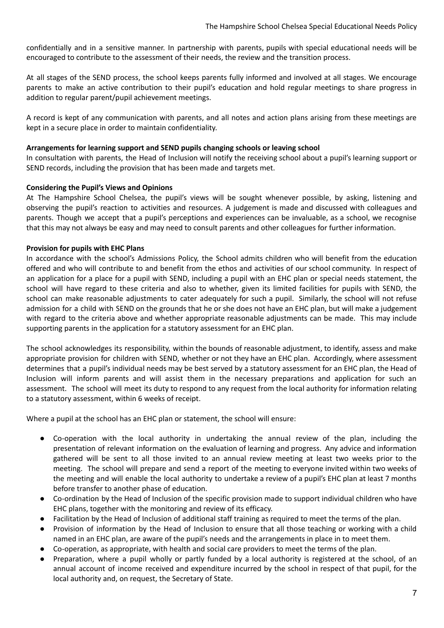confidentially and in a sensitive manner. In partnership with parents, pupils with special educational needs will be encouraged to contribute to the assessment of their needs, the review and the transition process.

At all stages of the SEND process, the school keeps parents fully informed and involved at all stages. We encourage parents to make an active contribution to their pupil's education and hold regular meetings to share progress in addition to regular parent/pupil achievement meetings.

A record is kept of any communication with parents, and all notes and action plans arising from these meetings are kept in a secure place in order to maintain confidentiality.

#### **Arrangements for learning support and SEND pupils changing schools or leaving school**

In consultation with parents, the Head of Inclusion will notify the receiving school about a pupil's learning support or SEND records, including the provision that has been made and targets met.

#### <span id="page-6-0"></span>**Considering the Pupil's Views and Opinions**

At The Hampshire School Chelsea, the pupil's views will be sought whenever possible, by asking, listening and observing the pupil's reaction to activities and resources. A judgement is made and discussed with colleagues and parents. Though we accept that a pupil's perceptions and experiences can be invaluable, as a school, we recognise that this may not always be easy and may need to consult parents and other colleagues for further information.

#### <span id="page-6-1"></span>**Provision for pupils with EHC Plans**

In accordance with the school's Admissions Policy, the School admits children who will benefit from the education offered and who will contribute to and benefit from the ethos and activities of our school community. In respect of an application for a place for a pupil with SEND, including a pupil with an EHC plan or special needs statement, the school will have regard to these criteria and also to whether, given its limited facilities for pupils with SEND, the school can make reasonable adjustments to cater adequately for such a pupil. Similarly, the school will not refuse admission for a child with SEND on the grounds that he or she does not have an EHC plan, but will make a judgement with regard to the criteria above and whether appropriate reasonable adjustments can be made. This may include supporting parents in the application for a statutory assessment for an EHC plan.

The school acknowledges its responsibility, within the bounds of reasonable adjustment, to identify, assess and make appropriate provision for children with SEND, whether or not they have an EHC plan. Accordingly, where assessment determines that a pupil's individual needs may be best served by a statutory assessment for an EHC plan, the Head of Inclusion will inform parents and will assist them in the necessary preparations and application for such an assessment. The school will meet its duty to respond to any request from the local authority for information relating to a statutory assessment, within 6 weeks of receipt.

Where a pupil at the school has an EHC plan or statement, the school will ensure:

- Co-operation with the local authority in undertaking the annual review of the plan, including the presentation of relevant information on the evaluation of learning and progress. Any advice and information gathered will be sent to all those invited to an annual review meeting at least two weeks prior to the meeting. The school will prepare and send a report of the meeting to everyone invited within two weeks of the meeting and will enable the local authority to undertake a review of a pupil's EHC plan at least 7 months before transfer to another phase of education.
- Co-ordination by the Head of Inclusion of the specific provision made to support individual children who have EHC plans, together with the monitoring and review of its efficacy.
- Facilitation by the Head of Inclusion of additional staff training as required to meet the terms of the plan.
- Provision of information by the Head of Inclusion to ensure that all those teaching or working with a child named in an EHC plan, are aware of the pupil's needs and the arrangements in place in to meet them.
- Co-operation, as appropriate, with health and social care providers to meet the terms of the plan.
- Preparation, where a pupil wholly or partly funded by a local authority is registered at the school, of an annual account of income received and expenditure incurred by the school in respect of that pupil, for the local authority and, on request, the Secretary of State.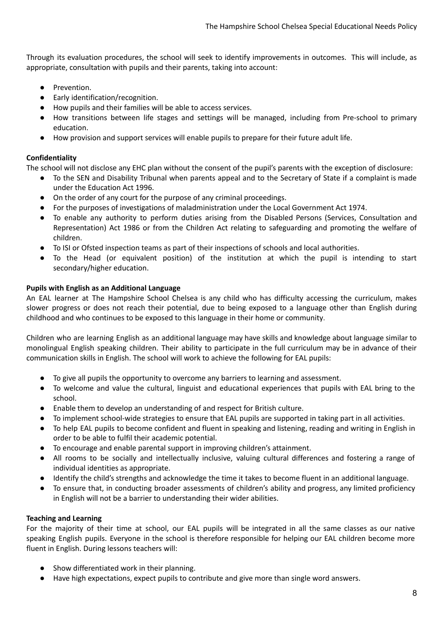Through its evaluation procedures, the school will seek to identify improvements in outcomes. This will include, as appropriate, consultation with pupils and their parents, taking into account:

- Prevention.
- Early identification/recognition.
- How pupils and their families will be able to access services.
- How transitions between life stages and settings will be managed, including from Pre-school to primary education.
- How provision and support services will enable pupils to prepare for their future adult life.

## **Confidentiality**

The school will not disclose any EHC plan without the consent of the pupil's parents with the exception of disclosure:

- To the SEN and Disability Tribunal when parents appeal and to the Secretary of State if a complaint is made under the Education Act 1996.
- On the order of any court for the purpose of any criminal proceedings.
- For the purposes of investigations of maladministration under the Local Government Act 1974.
- To enable any authority to perform duties arising from the Disabled Persons (Services, Consultation and Representation) Act 1986 or from the Children Act relating to safeguarding and promoting the welfare of children.
- To ISI or Ofsted inspection teams as part of their inspections of schools and local authorities.
- To the Head (or equivalent position) of the institution at which the pupil is intending to start secondary/higher education.

## <span id="page-7-0"></span>**Pupils with English as an Additional Language**

An EAL learner at The Hampshire School Chelsea is any child who has difficulty accessing the curriculum, makes slower progress or does not reach their potential, due to being exposed to a language other than English during childhood and who continues to be exposed to this language in their home or community.

Children who are learning English as an additional language may have skills and knowledge about language similar to monolingual English speaking children. Their ability to participate in the full curriculum may be in advance of their communication skills in English. The school will work to achieve the following for EAL pupils:

- To give all pupils the opportunity to overcome any barriers to learning and assessment.
- To welcome and value the cultural, linguist and educational experiences that pupils with EAL bring to the school.
- Enable them to develop an understanding of and respect for British culture.
- To implement school-wide strategies to ensure that EAL pupils are supported in taking part in all activities.
- To help EAL pupils to become confident and fluent in speaking and listening, reading and writing in English in order to be able to fulfil their academic potential.
- To encourage and enable parental support in improving children's attainment.
- All rooms to be socially and intellectually inclusive, valuing cultural differences and fostering a range of individual identities as appropriate.
- Identify the child's strengths and acknowledge the time it takes to become fluent in an additional language.
- To ensure that, in conducting broader assessments of children's ability and progress, any limited proficiency in English will not be a barrier to understanding their wider abilities.

## **Teaching and Learning**

For the majority of their time at school, our EAL pupils will be integrated in all the same classes as our native speaking English pupils. Everyone in the school is therefore responsible for helping our EAL children become more fluent in English. During lessons teachers will:

- Show differentiated work in their planning.
- Have high expectations, expect pupils to contribute and give more than single word answers.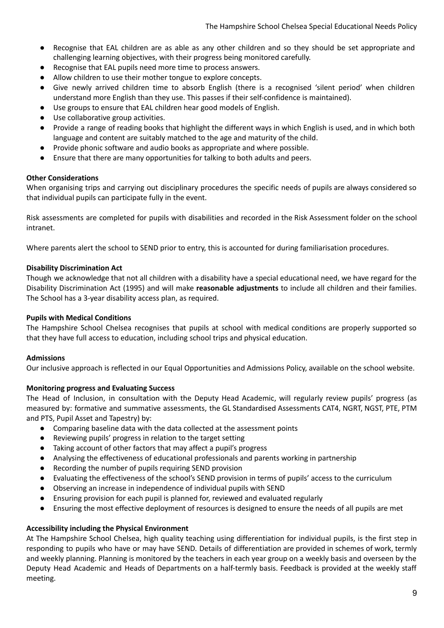- Recognise that EAL children are as able as any other children and so they should be set appropriate and challenging learning objectives, with their progress being monitored carefully.
- Recognise that EAL pupils need more time to process answers.
- Allow children to use their mother tongue to explore concepts.
- Give newly arrived children time to absorb English (there is a recognised 'silent period' when children understand more English than they use. This passes if their self-confidence is maintained).
- Use groups to ensure that EAL children hear good models of English.
- Use collaborative group activities.
- Provide a range of reading books that highlight the different ways in which English is used, and in which both language and content are suitably matched to the age and maturity of the child.
- Provide phonic software and audio books as appropriate and where possible.
- Ensure that there are many opportunities for talking to both adults and peers.

## <span id="page-8-0"></span>**Other Considerations**

When organising trips and carrying out disciplinary procedures the specific needs of pupils are always considered so that individual pupils can participate fully in the event.

Risk assessments are completed for pupils with disabilities and recorded in the Risk Assessment folder on the school intranet.

Where parents alert the school to SEND prior to entry, this is accounted for during familiarisation procedures.

## <span id="page-8-1"></span>**Disability Discrimination Act**

Though we acknowledge that not all children with a disability have a special educational need, we have regard for the Disability Discrimination Act (1995) and will make **reasonable adjustments** to include all children and their families. The School has a 3-year disability access plan, as required.

#### <span id="page-8-2"></span>**Pupils with Medical Conditions**

The Hampshire School Chelsea recognises that pupils at school with medical conditions are properly supported so that they have full access to education, including school trips and physical education.

## <span id="page-8-3"></span>**Admissions**

Our inclusive approach is reflected in our Equal Opportunities and Admissions Policy, available on the school website.

## <span id="page-8-4"></span>**Monitoring progress and Evaluating Success**

The Head of Inclusion, in consultation with the Deputy Head Academic, will regularly review pupils' progress (as measured by: formative and summative assessments, the GL Standardised Assessments CAT4, NGRT, NGST, PTE, PTM and PTS, Pupil Asset and Tapestry) by:

- Comparing baseline data with the data collected at the assessment points
- Reviewing pupils' progress in relation to the target setting
- Taking account of other factors that may affect a pupil's progress
- Analysing the effectiveness of educational professionals and parents working in partnership
- Recording the number of pupils requiring SEND provision
- Evaluating the effectiveness of the school's SEND provision in terms of pupils' access to the curriculum
- Observing an increase in independence of individual pupils with SEND
- Ensuring provision for each pupil is planned for, reviewed and evaluated regularly
- Ensuring the most effective deployment of resources is designed to ensure the needs of all pupils are met

## <span id="page-8-5"></span>**Accessibility including the Physical Environment**

At The Hampshire School Chelsea, high quality teaching using differentiation for individual pupils, is the first step in responding to pupils who have or may have SEND. Details of differentiation are provided in schemes of work, termly and weekly planning. Planning is monitored by the teachers in each year group on a weekly basis and overseen by the Deputy Head Academic and Heads of Departments on a half-termly basis. Feedback is provided at the weekly staff meeting.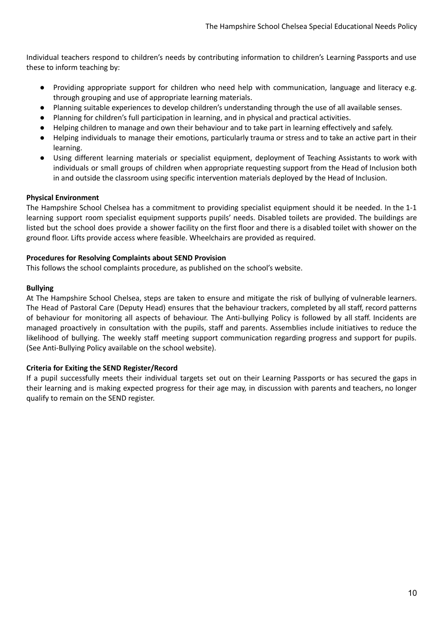Individual teachers respond to children's needs by contributing information to children's Learning Passports and use these to inform teaching by:

- Providing appropriate support for children who need help with communication, language and literacy e.g. through grouping and use of appropriate learning materials.
- Planning suitable experiences to develop children's understanding through the use of all available senses.
- Planning for children's full participation in learning, and in physical and practical activities.
- Helping children to manage and own their behaviour and to take part in learning effectively and safely.
- Helping individuals to manage their emotions, particularly trauma or stress and to take an active part in their learning.
- Using different learning materials or specialist equipment, deployment of Teaching Assistants to work with individuals or small groups of children when appropriate requesting support from the Head of Inclusion both in and outside the classroom using specific intervention materials deployed by the Head of Inclusion.

## <span id="page-9-0"></span>**Physical Environment**

The Hampshire School Chelsea has a commitment to providing specialist equipment should it be needed. In the 1-1 learning support room specialist equipment supports pupils' needs. Disabled toilets are provided. The buildings are listed but the school does provide a shower facility on the first floor and there is a disabled toilet with shower on the ground floor. Lifts provide access where feasible. Wheelchairs are provided as required.

#### <span id="page-9-1"></span>**Procedures for Resolving Complaints about SEND Provision**

This follows the school complaints procedure, as published on the school's website.

#### <span id="page-9-2"></span>**Bullying**

At The Hampshire School Chelsea, steps are taken to ensure and mitigate the risk of bullying of vulnerable learners. The Head of Pastoral Care (Deputy Head) ensures that the behaviour trackers, completed by all staff, record patterns of behaviour for monitoring all aspects of behaviour. The Anti-bullying Policy is followed by all staff. Incidents are managed proactively in consultation with the pupils, staff and parents. Assemblies include initiatives to reduce the likelihood of bullying. The weekly staff meeting support communication regarding progress and support for pupils. (See Anti-Bullying Policy available on the school website).

## <span id="page-9-3"></span>**Criteria for Exiting the SEND Register/Record**

If a pupil successfully meets their individual targets set out on their Learning Passports or has secured the gaps in their learning and is making expected progress for their age may, in discussion with parents and teachers, no longer qualify to remain on the SEND register.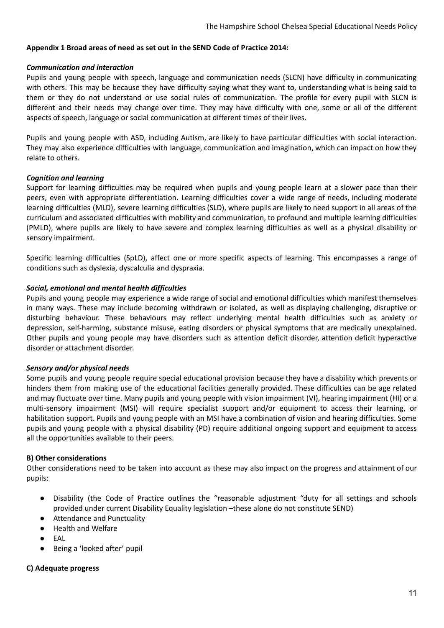## <span id="page-10-0"></span>**Appendix 1 Broad areas of need as set out in the SEND Code of Practice 2014:**

#### *Communication and interaction*

Pupils and young people with speech, language and communication needs (SLCN) have difficulty in communicating with others. This may be because they have difficulty saying what they want to, understanding what is being said to them or they do not understand or use social rules of communication. The profile for every pupil with SLCN is different and their needs may change over time. They may have difficulty with one, some or all of the different aspects of speech, language or social communication at different times of their lives.

Pupils and young people with ASD, including Autism, are likely to have particular difficulties with social interaction. They may also experience difficulties with language, communication and imagination, which can impact on how they relate to others.

## *Cognition and learning*

Support for learning difficulties may be required when pupils and young people learn at a slower pace than their peers, even with appropriate differentiation. Learning difficulties cover a wide range of needs, including moderate learning difficulties (MLD), severe learning difficulties (SLD), where pupils are likely to need support in all areas of the curriculum and associated difficulties with mobility and communication, to profound and multiple learning difficulties (PMLD), where pupils are likely to have severe and complex learning difficulties as well as a physical disability or sensory impairment.

Specific learning difficulties (SpLD), affect one or more specific aspects of learning. This encompasses a range of conditions such as dyslexia, dyscalculia and dyspraxia.

#### *Social, emotional and mental health difficulties*

Pupils and young people may experience a wide range of social and emotional difficulties which manifest themselves in many ways. These may include becoming withdrawn or isolated, as well as displaying challenging, disruptive or disturbing behaviour. These behaviours may reflect underlying mental health difficulties such as anxiety or depression, self-harming, substance misuse, eating disorders or physical symptoms that are medically unexplained. Other pupils and young people may have disorders such as attention deficit disorder, attention deficit hyperactive disorder or attachment disorder.

#### *Sensory and/or physical needs*

Some pupils and young people require special educational provision because they have a disability which prevents or hinders them from making use of the educational facilities generally provided. These difficulties can be age related and may fluctuate over time. Many pupils and young people with vision impairment (VI), hearing impairment (HI) or a multi-sensory impairment (MSI) will require specialist support and/or equipment to access their learning, or habilitation support. Pupils and young people with an MSI have a combination of vision and hearing difficulties. Some pupils and young people with a physical disability (PD) require additional ongoing support and equipment to access all the opportunities available to their peers.

#### **B) Other considerations**

Other considerations need to be taken into account as these may also impact on the progress and attainment of our pupils:

- Disability (the Code of Practice outlines the "reasonable adjustment "duty for all settings and schools provided under current Disability Equality legislation –these alone do not constitute SEND)
- Attendance and Punctuality
- **Health and Welfare**
- EAL
- Being a 'looked after' pupil

## **C) Adequate progress**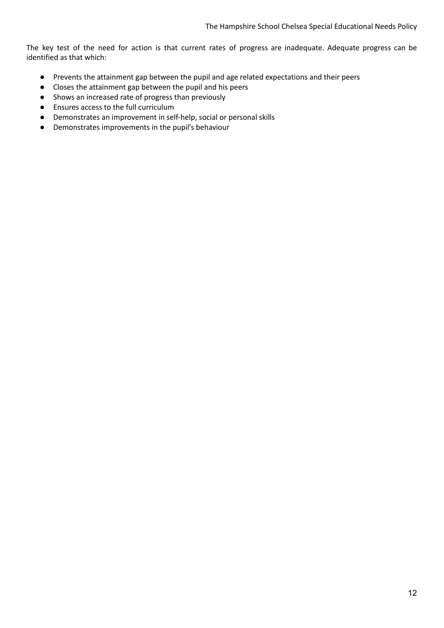The key test of the need for action is that current rates of progress are inadequate. Adequate progress can be identified as that which:

- Prevents the attainment gap between the pupil and age related expectations and their peers
- Closes the attainment gap between the pupil and his peers
- Shows an increased rate of progress than previously
- Ensures access to the full curriculum
- Demonstrates an improvement in self-help, social or personal skills
- Demonstrates improvements in the pupil's behaviour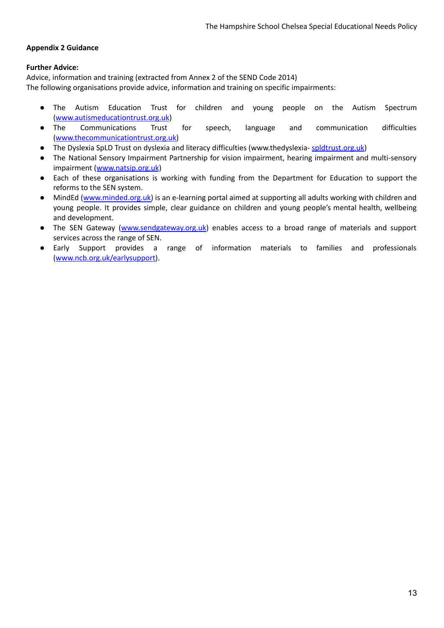## <span id="page-12-0"></span>**Appendix 2 Guidance**

## **Further Advice:**

Advice, information and training (extracted from Annex 2 of the SEND Code 2014) The following organisations provide advice, information and training on specific impairments:

- The Autism Education Trust for children and young people on the Autism Spectrum ([www.autismeducationtrust.org.uk](http://www.autismeducationtrust.org.uk/))
- The Communications Trust for speech, language and communication difficulties ([www.thecommunicationtrust.org.uk\)](http://www.thecommunicationtrust.org.uk/)
- The Dyslexia SpLD Trust on dyslexia and literacy difficulties (www.thedyslexia- [spldtrust.org.uk](http://spldtrust.org.uk/))
- The National Sensory Impairment Partnership for vision impairment, hearing impairment and multi-sensory impairment ([www.natsip.org.uk](http://www.natsip.org.uk/))
- Each of these organisations is working with funding from the Department for Education to support the reforms to the SEN system.
- MindEd ([www.minded.org.uk\)](http://www.minded.org.uk/) is an e-learning portal aimed at supporting all adults working with children and young people. It provides simple, clear guidance on children and young people's mental health, wellbeing and development.
- The SEN Gateway ([www.sendgateway.org.uk\)](http://www.sendgateway.org.uk/) enables access to a broad range of materials and support services across the range of SEN.
- Early Support provides a range of information materials to families and professionals ([www.ncb.org.uk/earlysupport\)](http://www.ncb.org.uk/earlysupport).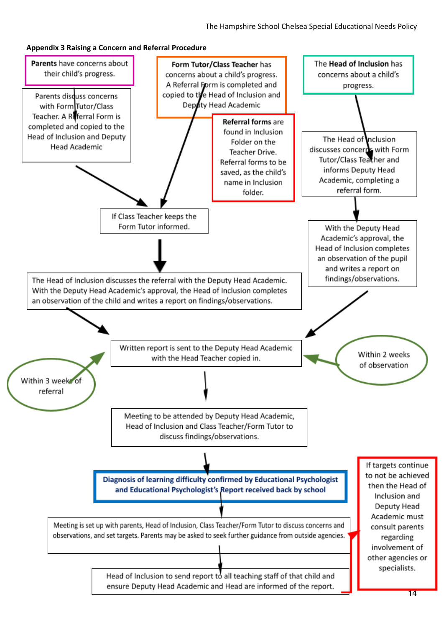#### <span id="page-13-0"></span>**Appendix 3 Raising a Concern and Referral Procedure**